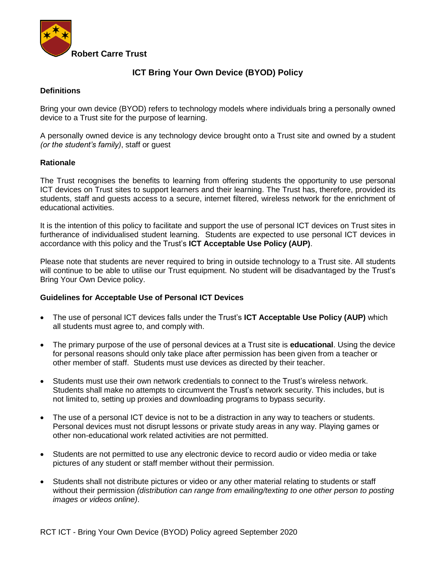

# **ICT Bring Your Own Device (BYOD) Policy**

### **Definitions**

Bring your own device (BYOD) refers to technology models where individuals bring a personally owned device to a Trust site for the purpose of learning.

A personally owned device is any technology device brought onto a Trust site and owned by a student *(or the student's family)*, staff or guest

#### **Rationale**

The Trust recognises the benefits to learning from offering students the opportunity to use personal ICT devices on Trust sites to support learners and their learning. The Trust has, therefore, provided its students, staff and guests access to a secure, internet filtered, wireless network for the enrichment of educational activities.

It is the intention of this policy to facilitate and support the use of personal ICT devices on Trust sites in furtherance of individualised student learning. Students are expected to use personal ICT devices in accordance with this policy and the Trust's **ICT Acceptable Use Policy (AUP)**.

Please note that students are never required to bring in outside technology to a Trust site. All students will continue to be able to utilise our Trust equipment. No student will be disadvantaged by the Trust's Bring Your Own Device policy.

#### **Guidelines for Acceptable Use of Personal ICT Devices**

- The use of personal ICT devices falls under the Trust's **ICT Acceptable Use Policy (AUP)** which all students must agree to, and comply with.
- The primary purpose of the use of personal devices at a Trust site is **educational**. Using the device for personal reasons should only take place after permission has been given from a teacher or other member of staff. Students must use devices as directed by their teacher.
- Students must use their own network credentials to connect to the Trust's wireless network. Students shall make no attempts to circumvent the Trust's network security. This includes, but is not limited to, setting up proxies and downloading programs to bypass security.
- The use of a personal ICT device is not to be a distraction in any way to teachers or students. Personal devices must not disrupt lessons or private study areas in any way. Playing games or other non-educational work related activities are not permitted.
- Students are not permitted to use any electronic device to record audio or video media or take pictures of any student or staff member without their permission.
- Students shall not distribute pictures or video or any other material relating to students or staff without their permission *(distribution can range from emailing/texting to one other person to posting images or videos online)*.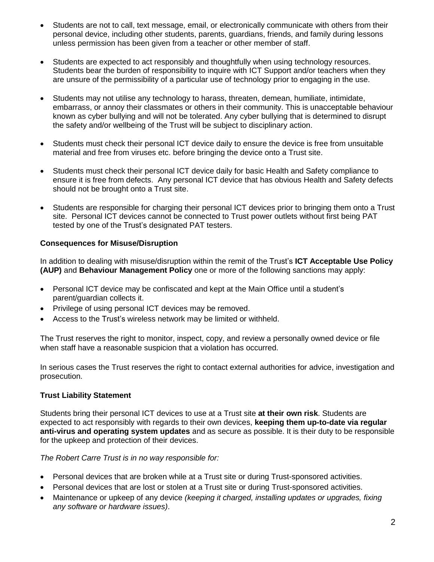- Students are not to call, text message, email, or electronically communicate with others from their personal device, including other students, parents, guardians, friends, and family during lessons unless permission has been given from a teacher or other member of staff.
- Students are expected to act responsibly and thoughtfully when using technology resources. Students bear the burden of responsibility to inquire with ICT Support and/or teachers when they are unsure of the permissibility of a particular use of technology prior to engaging in the use.
- Students may not utilise any technology to harass, threaten, demean, humiliate, intimidate, embarrass, or annoy their classmates or others in their community. This is unacceptable behaviour known as cyber bullying and will not be tolerated. Any cyber bullying that is determined to disrupt the safety and/or wellbeing of the Trust will be subject to disciplinary action.
- Students must check their personal ICT device daily to ensure the device is free from unsuitable material and free from viruses etc. before bringing the device onto a Trust site.
- Students must check their personal ICT device daily for basic Health and Safety compliance to ensure it is free from defects. Any personal ICT device that has obvious Health and Safety defects should not be brought onto a Trust site.
- Students are responsible for charging their personal ICT devices prior to bringing them onto a Trust site. Personal ICT devices cannot be connected to Trust power outlets without first being PAT tested by one of the Trust's designated PAT testers.

# **Consequences for Misuse/Disruption**

In addition to dealing with misuse/disruption within the remit of the Trust's **ICT Acceptable Use Policy (AUP)** and **Behaviour Management Policy** one or more of the following sanctions may apply:

- Personal ICT device may be confiscated and kept at the Main Office until a student's parent/guardian collects it.
- Privilege of using personal ICT devices may be removed.
- Access to the Trust's wireless network may be limited or withheld.

The Trust reserves the right to monitor, inspect, copy, and review a personally owned device or file when staff have a reasonable suspicion that a violation has occurred.

In serious cases the Trust reserves the right to contact external authorities for advice, investigation and prosecution.

#### **Trust Liability Statement**

Students bring their personal ICT devices to use at a Trust site **at their own risk**. Students are expected to act responsibly with regards to their own devices, **keeping them up-to-date via regular anti-virus and operating system updates** and as secure as possible. It is their duty to be responsible for the upkeep and protection of their devices.

*The Robert Carre Trust is in no way responsible for:* 

- Personal devices that are broken while at a Trust site or during Trust-sponsored activities.
- Personal devices that are lost or stolen at a Trust site or during Trust-sponsored activities.
- Maintenance or upkeep of any device *(keeping it charged, installing updates or upgrades, fixing any software or hardware issues)*.